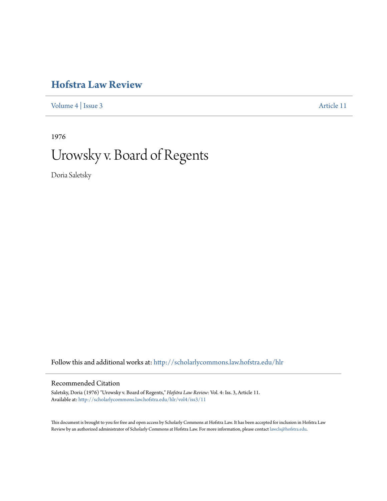## **[Hofstra Law Review](http://scholarlycommons.law.hofstra.edu/hlr?utm_source=scholarlycommons.law.hofstra.edu%2Fhlr%2Fvol4%2Fiss3%2F11&utm_medium=PDF&utm_campaign=PDFCoverPages)**

[Volume 4](http://scholarlycommons.law.hofstra.edu/hlr/vol4?utm_source=scholarlycommons.law.hofstra.edu%2Fhlr%2Fvol4%2Fiss3%2F11&utm_medium=PDF&utm_campaign=PDFCoverPages) | [Issue 3](http://scholarlycommons.law.hofstra.edu/hlr/vol4/iss3?utm_source=scholarlycommons.law.hofstra.edu%2Fhlr%2Fvol4%2Fiss3%2F11&utm_medium=PDF&utm_campaign=PDFCoverPages) [Article 11](http://scholarlycommons.law.hofstra.edu/hlr/vol4/iss3/11?utm_source=scholarlycommons.law.hofstra.edu%2Fhlr%2Fvol4%2Fiss3%2F11&utm_medium=PDF&utm_campaign=PDFCoverPages)

1976

## Urowsky v. Board of Regents

Doria Saletsky

Follow this and additional works at: [http://scholarlycommons.law.hofstra.edu/hlr](http://scholarlycommons.law.hofstra.edu/hlr?utm_source=scholarlycommons.law.hofstra.edu%2Fhlr%2Fvol4%2Fiss3%2F11&utm_medium=PDF&utm_campaign=PDFCoverPages)

## Recommended Citation

Saletsky, Doria (1976) "Urowsky v. Board of Regents," *Hofstra Law Review*: Vol. 4: Iss. 3, Article 11. Available at: [http://scholarlycommons.law.hofstra.edu/hlr/vol4/iss3/11](http://scholarlycommons.law.hofstra.edu/hlr/vol4/iss3/11?utm_source=scholarlycommons.law.hofstra.edu%2Fhlr%2Fvol4%2Fiss3%2F11&utm_medium=PDF&utm_campaign=PDFCoverPages)

This document is brought to you for free and open access by Scholarly Commons at Hofstra Law. It has been accepted for inclusion in Hofstra Law Review by an authorized administrator of Scholarly Commons at Hofstra Law. For more information, please contact [lawcls@hofstra.edu](mailto:lawcls@hofstra.edu).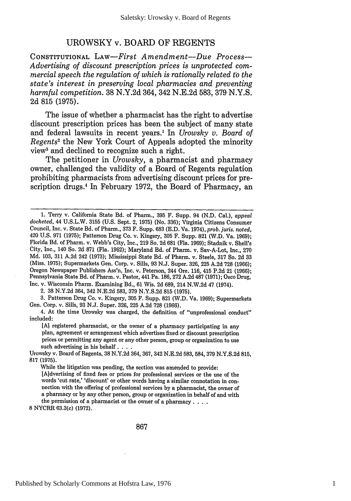## UROWSKY v. BOARD OF **REGENTS**

**CONSTITUTIONAL** *LAW-First Amendment-Due Process-Advertising of discount prescription prices is unprotected commercial speech the regulation of which is rationally related to the state's interest in preserving local pharmacies and preventing harmful competition.* 38 N.Y.2d 364, 342 N.E.2d 583, 379 N.Y.S. 2d 815 (1975).

The issue of whether a pharmacist has the right to advertise discount prescription prices has been the subject of many state and federal lawsuits in recent years.' In *Urowsky v. Board of Regents2* the New York Court of Appeals adopted the minority view3 and declined to recognize such a right.

The petitioner in *Urowsky,* a pharmacist and pharmacy owner, challenged the validity of a Board of Regents regulation prohibiting pharmacists from advertising discount prices for prescription drugs.<sup>4</sup> In February 1972, the Board of Pharmacy, an

2. 38 N.Y.2d 364, 342 N.E.2d 583, 379 N.Y.S.2d 815 (1975).

3. Patterson Drug Co. v. Kingery, 305 F. Supp. 821 (W.D. Va. 1969); Supermarkets Gen. Corp. v. Sills, 93 N.J. Super. 326, 225 A.2d 728 (1966).

4. At the time Urowsky was charged, the definition of "unprofessional conduct" included:

**[A]** registered pharmacist, or the owner of a pharmacy participating in any plan, agreement or arrangement which advertises fixed or discount prescription prices or permitting any agent or any other person, group or organization to use such advertising in his behalf **....**

Urowsky v. Board of Regents, 38 N.Y.2d 364, 367, 342 N.E.2d 583, 584, 379 N.Y.S.2d 815, 817 (1975).

8 NYCRR 63.3(c) (1972).

867

<sup>1.</sup> Terry v. California State Bd. of Pharm., 395 F. Supp. 94 (N.D. Cal.), *appeal docketed,* 44 U.S.L.W. 3155 (U.S. Sept. 2, 1975) (No. 336); Virginia Citizens Consumer Council, Inc. v. State Bd. of Pharm., 373 F. Supp. 683 (E.D. Va. 1974), *prob. juris. noted,* 420 U.S. 971 (1975); Patterson Drug Co. v. Kingery, 305 F. Supp. 821 (W.D. Va. 1969); Florida Bd. of Pharm. v. Webb's City, Inc., 219 So. 2d 681 (Fla. 1969); Stadnik v. Shell's City, Inc., 140 So. 2d 871 (Fla. 1962); Maryland Bd. of Pharm. v. Say-A-Lot, Inc., 270 Md. 103, 311 A.2d 242 (1973); Mississippi State Bd. of Pharm. v. Steele, 317 So. 2d 33 (Miss. 1975); Supermarkets Gen. Corp. v. Sills, 93 N.J. Super. 326, 225 A.2d 728 (1966); Oregon Newspaper Publishers Ass'n, Inc. v. Peterson, 244 Ore. 116, 415 P.2d 21 (1966); Pennsylvania State Bd. of Pharm. v. Pastor, 441 Pa. 186, 272 A.2d 487 (1971); Osco Drug, Inc. v. Wisconsin Pharm. Examining Bd., 61 Wis. 2d 689, 214 N.W.2d 47 (1974).

While the litigation was pending, the section was amended to provide: [Aidvertising of fixed fees or prices for professional services or the use of the words 'cut rate,' 'discount' or other words having a similar connotation in connection with the offering of professional services by a pharmacist, the owner of a pharmacy or by any other person, group or organization in behalf of and with the permission of a pharmacist or the owner of a pharmacy. . **..**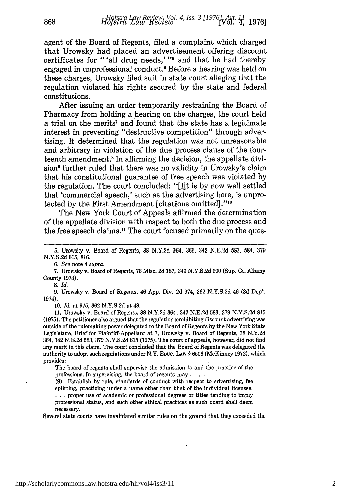agent of the Board of Regents, filed a complaint which charged that Urowsky had placed an advertisement offering discount certificates for "'all drug needs,"<sup>3</sup> and that he had thereby engaged in unprofessional conduct.<sup>6</sup> Before a hearing was held on these charges, Urowsky filed suit in state court alleging that the regulation violated his rights secured by the state and federal constitutions.

After issuing an order temporarily restraining the Board of Pharmacy from holding a hearing on the charges, the court held a trial on the merits' and found that the state has **a** legitimate interest in preventing "destructive competition" through advertising. It determined that the regulation was not unreasonable and arbitrary in violation of the due process clause of the fourteenth amendment.<sup>8</sup> In affirming the decision, the appellate division<sup>9</sup> further ruled that there was no validity in Urowsky's claim that his constitutional guarantee of free speech was violated by the regulation. The court concluded: "[I]t is by now well settled that 'commercial speech,' such as the advertising here, is unprotected by the First Amendment [citations omitted]."<sup>10</sup>

The New York Court of Appeals affirmed the determination of the appellate division with respect to both the due process and the free speech claims.<sup>11</sup> The court focused primarily on the ques-

*8. Id.*

868

9. Urowsky v. Board of Regents, 46 App. Div. 2d 974, 362 N.Y.S.2d 46 (3d Dep't 1974).

10. *Id.* at 975, 362 N.Y.S.2d at 48.

11. Urowsky v. Board of Regents, 38 N.Y.2d 364, 342 N.E.2d 583, 379 N.Y.S.2d 815 (1975). The petitioner also argued that the regulation prohibiting discount advertising was outside of the rulemaking power delegated to the Board of Regents by the New York State Legislature. Brief for Plaintiff-Appellant at 7, Urowsky v. Board of Regents, 38 N.Y.2d 364, 342 N.E.2d 583, 379 N.Y.S.2d 815 (1975). The court of appeals, however, did not find any merit in this claim. The court concluded that the Board of Regents was delegated the authority to adopt such regulations under N.Y. **EDUC.** LAW § 6506 (McKinney 1972), which provides:

The board of regents shall supervise the admission to and the practice of the professions. In supervising, the board of regents may. **...**

(9) Establish by rule, standards of conduct with respect to advertising, fee splitting, practicing under a name other than that of the individual licensee, **...**proper use of academic or professional degrees or titles tending to imply professional status, and such other ethical practices as such board shall deem necessary.

Several state courts have invalidated similar rules on the ground that they exceeded the

<sup>5.</sup> Urowsky v. Board of Regents, 38 N.Y.2d 364, 366, 342 N.E.2d 583, 584, 379 N.Y.S.2d 815, 816.

*<sup>6.</sup> See* note 4 *supra.*

<sup>7.</sup> Urowsky v. Board of Regents, 76 Misc. 2d 187, 349 N.Y.S.2d 600 (Sup. Ct. Albany County 1973).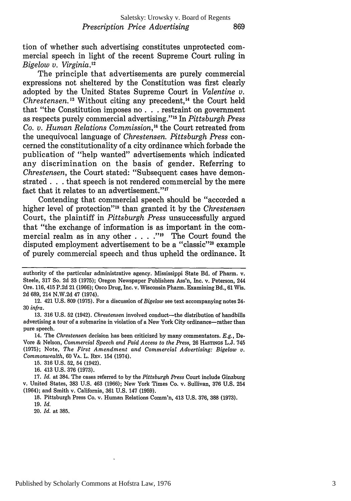tion of whether such advertising constitutes unprotected commercial speech in light of the recent Supreme Court ruling in *Bigelow v. Virginia.12*

The principle that advertisements are purely commercial expressions not sheltered by the Constitution was first clearly adopted by the United States Supreme Court in *Valentine v. Chrestensen.13* Without citing any precedent, 4 the Court held that "the Constitution imposes no **. .** .restraint on government as respects purely commercial advertising.' In *Pittsburgh Press Co. v. Human Relations Commission,16* the Court retreated from the unequivocal language of *Chrestensen. Pittsburgh Press* concerned the constitutionality of a city ordinance which forbade the publication of "help wanted" advertisements which indicated any discrimination on the basis of gender. Referring to *Chrestensen,* the Court stated: "Subsequent cases have demonstrated **. . .** that speech is not rendered commercial by the mere fact that it relates to an advertisement." $17$ 

Contending that commercial speech should be "accorded a higher level of protection"'8 than granted it by the *Chrestensen* Court, the plaintiff in *Pittsburgh Press* unsuccessfully argued that "the exchange of information is as important in the commercial realm as in any other . . . . "<sup>19</sup> The Court found the disputed employment advertisement to be a "classic"<sup>20</sup> example of purely commercial speech and thus upheld the ordinance. It

16. 413 U.S. 376 (1973).

18. Pittsburgh Press Co. v. Human Relations Comm'n, 413 U.S. 376, 388 (1973).

19. *Id.*

20. *Id.* at 385.

authority of the particular administrative agency. Mississippi State Bd. of Pharm. v. Steele, **317** So. **2d 33 (1975);** Oregon Newspaper Publishers Ass'n, Inc. v. Peterson, 244 Ore. 116, 415 P.2d 21 (1966); Osco Drug, Inc. v. Wisconsin Pharm. Examining Bd., 61 Wis. 2d 689, 214 N.W.2d 47 (1974).

<sup>12. 421</sup> U.S. 809 (1975). For a discussion *of Bigelow* see text accompanying notes 24- 30 *infra.*

<sup>13. 316</sup> U.S. 52 (1942). *Chrestensen* involved conduct-the distribution of handbills advertising a tour of a submarine in violation of a New York City ordinance-rather than pure speech.

<sup>14.</sup> The *Chrestensen* decision has been criticized by many commentators. *E.g.,* De-Vore & Nelson, *Commercial Speech and Paid Access to the Press,* 26 HASTINGs L.J. 745 (1975); Note, *The First Amendment and Commercial Advertising: Bigelow v. Commonwealth,* 60 **VA.** L. **REV.** 154 (1974).

<sup>15. 316</sup> U.S. 52, 54 (1942).

<sup>17.</sup> *Id.* at 384. The cases referred to by the *Pittsburgh Press* Court include Ginzburg v. United States, 383 U.S. 463 (1966); New York Times Co. v. Sullivan, 376 U.S. 254 (1964); and Smith v. California, 361 U.S. 147 (1959).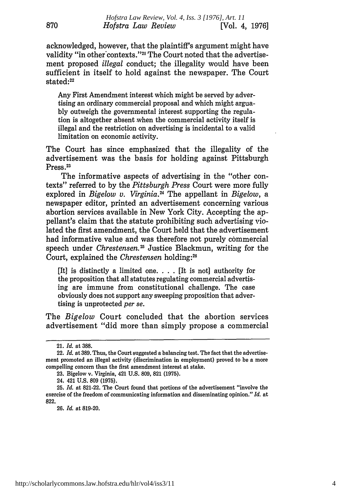acknowledged, however, that the plaintiff's argument might have validity "in other contexts."<sup>21</sup> The Court noted that the advertisement proposed *illegal* conduct; the illegality would have been sufficient in itself to hold against the newspaper. The Court stated:<sup>22</sup>

Any First Amendment interest which might be served by advertising an ordinary commercial proposal and which might arguably outweigh the governmental interest supporting the regulation is altogether absent when the commercial activity itself is illegal and the restriction on advertising is incidental to a valid limitation on economic activity.

The Court has since emphasized that the illegality of the advertisement was the basis for holding against Pittsburgh Press **.23**

The informative aspects of advertising in the "other contexts" referred to by the *Pittsburgh Press* Court were more fully explored in *Bigelow v. Virginia.24* The appellant in *Bigelow, a* newspaper editor, printed an advertisement concerning various abortion services available in New York City. Accepting the appellant's claim that the statute prohibiting such advertising violated the first amendment, the Court held that the advertisement had informative value and was therefore not purely commercial speech under *Chrestensen.*<sup>25</sup> Justice Blackmun, writing for the Court, explained the *Chrestensen* holding:28

[It] is distinctly a limited one. . . . [It is not] authority for the proposition that all statutes regulating commercial advertising are immune from constitutional challenge. The case obviously does not support any sweeping proposition that advertising is unprotected *per se.*

The *Bigelow* Court concluded that the abortion services advertisement "did more than simply propose a commercial

870

26. *Id.* at 819.20.

<sup>21.</sup> *Id.* at 388.

<sup>22.</sup> *Id.* at 389. Thus, the Court suggested a balancing test. The fact that the advertisement promoted an illegal activity (discrimination in employment) proved to be a more compelling concern than the first amendment interest at stake.

<sup>23.</sup> Bigelow v. Virginia, 421 U.S. 809, 821 (1975).

<sup>24. 421</sup> U.S. **809** (1975).

<sup>25.</sup> *Id.* at 821-22. The Court found that portions of the advertisement "involve the exercise of the freedom of communicating information and disseminating opinion." *Id.* at 822.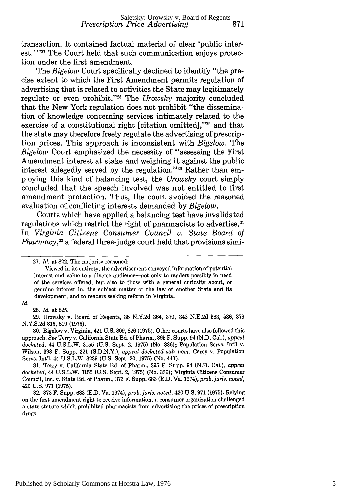transaction. It contained factual material of clear 'public interest.' **"27** The Court held that such communication enjoys protection under the first amendment.

The *Bigelow* Court specifically declined to identify "the precise extent to which the First Amendment permits regulation of advertising that is related to activities the State may legitimately regulate or even prohibit."<sup>28</sup> The *Urowsky* majority concluded that the New York regulation does not prohibit "the dissemination of knowledge concerning services intimately related to the exercise of a constitutional right [citation omitted],"<sup>29</sup> and that the state may therefore freely regulate the advertising of prescription prices. This approach is inconsistent with *Bigelow.* The *Bigelow* Court emphasized the necessity of "assessing the First Amendment interest at stake and weighing it against the public interest allegedly served by the regulation."<sup>30</sup> Rather than employing this kind of balancing test, the *Urowsky* court simply concluded that the speech involved was not entitled to first amendment protection. Thus, the court avoided the reasoned evaluation of. conflicting interests demanded by *Bigelow.*

Courts which have applied a balancing test have invalidated regulations which restrict the right of pharmacists to advertise.<sup>31</sup> In *Virginia Citizens Consumer Council v. State Board of Pharmacy,32* a federal three-judge court held that provisions simi-

29. Urowsky v. Board of Regents, **38** N.Y.2d 364, 370, 342 N.E.2d 583, 586, 379 N.Y.S.2d 815, 819 (1975).

30. Bigelow v. Virginia, 421 U.S. 809, 826 (1975). Other courts have also followed this approach. *See* Terry v. California State Bd. of Pharm., 395 F. Supp. 94 (N.D. Cal.), *appeal docketed,* 44 U.S.L.W. 3155 (U.S. Sept. 2, 1975) (No. 336); Population Servs. Int'l v. Wilson, 398 F. Supp. 321 (S.D.N.Y.), *appeal docketed sub nom.* Carey v. Population Servs. Int'l, 44 U.S.L.W. 3239 (U.S. Sept. 20, 1975) (No. 443).

31. Terry v. California State Bd. of Pharm., 395 F. Supp. 94 (N.D. Cal.), *appeal docketed,* 44 U.S.L.W. 3155 (U.S. Sept. 2, 1975) (No. 336); Virginia Citizens Consumer Council, Inc. v. State Bd. of Pharm., 373 F. Supp. 683 (E.D. Va. 1974), *prob. juris. noted,* 420 U.S. 971 (1975).

32. 373 F. Supp. 683 (E.D. Va. 1974), *prob. juris. noted,* 420 U.S. 971 (1975). Relying on the first amendment right to receive information, a consumer organization challenged a state statute which prohibited pharmacists from advertising the prices of prescription drugs.

<sup>27.</sup> *Id.* at 822. The majority reasoned:

Viewed in its entirety, the advertisement conveyed information of potential interest and value to a diverse audience-not only to readers possibly in need of the services offered, but also to those with a general curiosity about, or genuine interest in, the subject matter or the law of another State and its development, and to readers seeking reform in Virginia.

*Id.*

<sup>28.</sup> *Id.* at 825.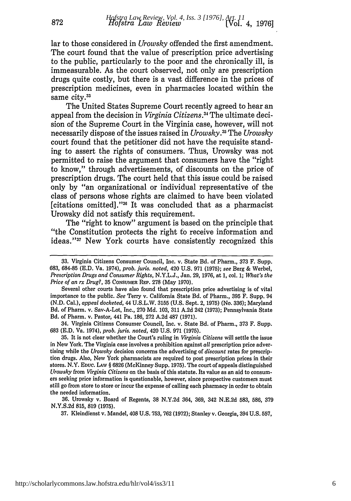lar to those considered in *Urowsky* offended the first amendment. The court found that the value of prescription price advertising to the public, particularly to the poor and the chronically ill, is immeasurable. As the court observed, not only are prescription drugs quite costly, but there is a vast difference in the prices of prescription medicines, even in pharmacies located within the same city.<sup>33</sup>

872

The United States Supreme Court recently agreed to hear an appeal from the decision in *Virginia Citizens.4* The ultimate decision of the Supreme Court in the Virginia case, however, will not necessarily dispose of the issues raised in *Urowsky*.<sup>35</sup> The *Urowsky* court found that the petitioner did not have the requisite standing to assert the rights of consumers. Thus, Urowsky was not permitted to raise the argument that consumers have the "right to know," through advertisements, of discounts on the price of prescription drugs. The court held that this issue could be raised only by "an organizational or individual representative of the class of persons whose rights are claimed to have been violated [citations omitted]."<sup>36</sup> It was concluded that as a pharmacist Urowsky did not satisfy this requirement.

The "right to know" argument is based on the principle that "the Constitution protects the right to receive information and ideas."<sup>37</sup> New York courts have consistently recognized this

34. Virginia Citizens Consumer Council, Inc. v. State Bd. of Pharm., 373 F. Supp. 683 (E.D. Va. 1974), *prob. juris. noted,* 420 U.S. 971 (1975).

37. Kleindienst v. Mandel, 408 U.S. 753, 762 (1972); Stanley v. Georgia, 394 U.S. 557,

**<sup>33.</sup>** Virginia Citizens Consumer Council, Inc. v. State Bd. of Pharm., **373** F. Supp. **683, 684-85 (E.D.** Va. 1974), *prob. juris. noted,* 420 **U.S. 971 (1975);** *see* Berg & Werbel, *Prescription Drugs and Consumer Rights,* N.Y.L.J., Jan. 29, 1976, at 1, col. 1; *What's the Price of an rx Drug?,* 35 CONSUMER REP. 278 (May 1970).

Several other courts have also found that prescription price advertising is of vital importance to the public. *See* Terry v. California State Bd. of Pharm., 395 F. Supp. 94 (N.D. Cal.), *appeal docketed,* 44 U.S.L.W. 3155 (U.S. Sept. 2, 1975) (No. 336); Maryland Bd. of Pharm. v. Sav-A-Lot, Inc., 270 Md. 103, 311 A.2d 242 (1973); Pennsylvania State Bd. of Pharm. v. Pastor, 441 Pa. 186, 272 A.2d 487 (1971).

<sup>35.</sup> It is not clear whether the Court's ruling in *Virginia Citizens* will settle the issue in New York. The Virginia case involves a prohibition against *all* prescription price advertising while the *Urowsky* decision concerns the advertising of *discount* rates for prescription drugs. Also, New York pharmacists are required to post prescription prices in their stores. N.Y. **EDuc. LAw** § 6826 (McKinney Supp. 1975). The court of appeals distinguished *Urowsky* from *Virginia Citizens* on the basis of this statute. Its value as an aid to consumers seeking price information is questionable, however, since prospective customers must still go from store to store or incur the expense of calling each pharmacy in order to obtain the needed information.

<sup>36.</sup> Urowsky v. Board of Regents, 38 N.Y.2d 364, 369, 342 N.E.2d 583, 586, 379 N.Y.S.2d 815, 819 (1975).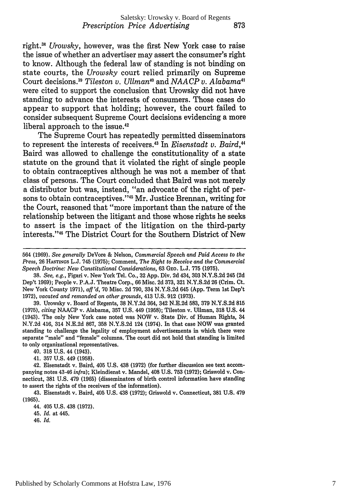right. <sup>8</sup>*Urowsky,* however, was the first New York case to raise the issue of whether an advertiser may assert the consumer's right to know. Although the federal law of standing is not binding on state courts, the *Urowsky* court relied primarily on Supreme Court decisions.<sup>39</sup> Tileston v. Ullman<sup>40</sup> and *NAACP v. Alabama*<sup>41</sup> were cited to support the conclusion that Urowsky did not have standing to advance the interests of consumers. Those cases do appear to support that holding; however, the court failed to consider subsequent Supreme Court decisions evidencing a more liberal approach to the issue.<sup>42</sup>

The Supreme Court has repeatedly permitted disseminators to represent the interests of receivers.43 In *Eisenstadt v. Baird,"* Baird was allowed to challenge the constitutionality of a state statute on the ground that it violated the right of single people to obtain contraceptives although he was not a member of that class of persons. The Court concluded that Baird was not merely a distributor but was, instead, "an advocate of the right of persons to obtain contraceptives."<sup>45</sup> Mr. Justice Brennan, writing for the Court, reasoned that "more important than the nature of the relationship between the litigant and those whose rights he seeks to assert is the impact of the litigation on the third-party interests."<sup>46</sup> The District Court for the Southern District of New

**38.** *See, e.g.,* Figari v. New York Tel. Co., **32 App.** Div. **2d** 434, **303 N.Y.S.2d** 245 **(2d** Dep't **1969);** People v. **P.A.J.** Theatre Corp., **66** Misc. **2d 373, 321 N.Y.S.2d 26** (Crim. Ct. New York County **1971),** *aff'd,* **70** Misc. **2d 790,** 334 **N.Y.S.2d** 645 **(App.** Term 1st Dep't **1972),** *vacated and remanded on other grounds,* 413 **U.S. 912 (1973).**

**39.** Urowsky v. Board of Regents, **38 N.Y.2d** 364, 342 **N.E.2d 583, 379 N.Y.S.2d 815 (1975),** *citing* **NAACP** v. Alabama, **357 U.S.** 449 **(1958);** Tileston v. Ullman, **318 U.S.** 44 (1943). The only New York case noted was NOW v. State Div. of Human Rights, 34 **N.Y.2d** 416, 314 **N.E.2d 867, 358 N.Y.S.2d** 124 (1974). In that case NOW was granted standing to challenge the legality of employment advertisements in which there were separate "male" and "female" columns. The court did not hold that standing is limited to only organizational representatives.

40. **318 U.S.** 44 (1943).

41. **357 U.S.** 449 **(1958).**

42. Eisenstadt v. Baird, 405 **U.S.** 438 **(1972)** (for further discussion see text accompanying notes 43-46 *infra);* Kleindienst v. Mandel, 408 **U.S. 753 (1972);** Griswold v. Connecticut, **381 U.S.** 479 **(1965)** (disseminators of birth control information have standing to assert the rights of the receivers of the information).

43. Eisenstadt v. Baird, 405 **U.S.** 438 **(1972);** Griswold v. Connecticut, **381 U.S.** 479 (1965).

44. 405 U.S. 438 (1972).

45. *Id.* at 445.

46. *Id.*

<sup>564</sup> **(1969).** *See generally* DeVore & Nelson, *Commercial Speech and Paid Access to the Press,* 26 HASTINGS **L.J.** 745 **(1975);** Comment, *The Right to Receive and the Commercial Speech Doctrine: New Constitutional Considerations,* **63 Gzo. L.J. 775 (1975).**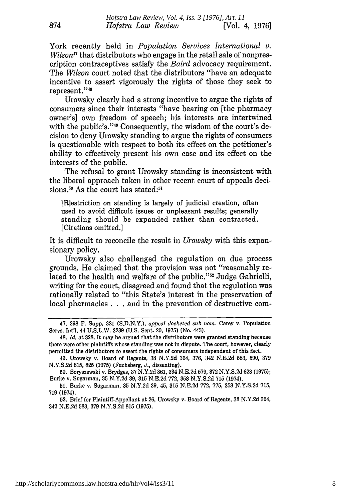York recently held in *Population Services International v. Wilson<sup>47</sup>* that distributors who engage in the retail sale of nonprescription contraceptives satisfy the *Baird* advocacy requirement. The *Wilson* court noted that the distributors "have an adequate incentive to assert vigorously the rights of those they seek to represent."<sup>48</sup>

874

Urowsky clearly had a strong incentive to argue the rights of consumers since their interests "have bearing on [the pharmacy owner's] own freedom of speech; his interests are intertwined with the public's."49 Consequently, the wisdom of the court's decision to deny Urowsky standing to argue the rights of consumers is questionable with respect to both its effect on the petitioner's ability- to effectively present his own case and its effect on the interests of the public.

The refusal to grant Urowsky standing is inconsistent with the liberal approach taken in other recent court of appeals decisions.<sup>50</sup> As the court has stated:<sup>51</sup>

[Riestriction on standing is largely of judicial creation, often used to avoid difficult issues or unpleasant results; generally standing should be expanded rather than contracted. [Citations omitted.]

It is difficult to reconcile the result in *Urowsky* with this expansionary policy.

Urowsky also challenged the regulation on due process grounds. He claimed that the provision was not "reasonably related to the health and welfare of the public."<sup>52</sup> Judge Gabrielli, writing for the court, disagreed and found that the regulation was rationally related to "this State's interest in the preservation of local pharmacies **. . .** and in the prevention of destructive com-

<sup>47. 398</sup> F. Supp. 321 (S.D.N.Y.), *appeal docketed sub nom.* Carey v. Population Servs. Int'l, 44 U.S.L.W. 3239 (U.S. Sept. 20, 1975) (No. 443).

<sup>48.</sup> *Id.* at 328. It may be argued that the distributors were granted standing because there were other plaintiffs whose standing was not in dispute. The court, however, clearly permitted the distributors to assert the rights of consumers independent of this fact.

<sup>49.</sup> Urowsky v. Board of Regents, 38 N.Y.2d 364, 376, 342 N.E.2d 583, 590, 379 N.Y.S.2d 815, 825 (1975) (Fuchsberg, J., dissenting).

<sup>50.</sup> Boryszewski v. Brydges, 37 N.Y.2d 361, 334 N.E.2d 579, 372 N.Y.S.2d 623 (1975); Burke v. Sugarman, 35 N.Y.2d 39, 315 N.E.2d 772, 358 N.Y.S.2d 715 (1974).

<sup>51.</sup> Burke v. Sugarman, 35 N.Y.2d 39, 45, 315 N.E.2d 772, 775, 358 N.Y.S.2d 715, 719 (1974).

<sup>52.</sup> Brief for Plaintiff-Appellant at 26, Urowsky v. Board of Regents, 38 N.Y.2d 364, 342 N.E.2d 583, 379 N.Y.S.2d 815 (1975).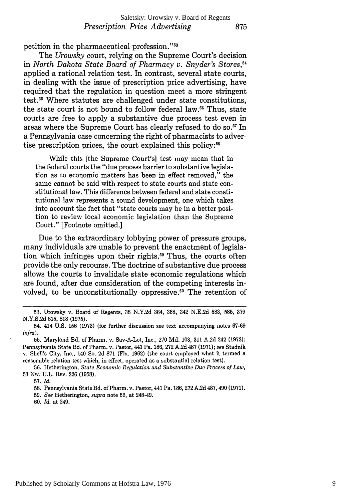petition in the pharmaceutical profession. '53

The *Urowsky* court, relying on the Supreme Court's decision in *North Dakota State Board of Pharmacy v. Snyder's Stores,54* applied a rational relation test. In contrast, several state courts, in dealing with the issue of prescription price advertising, have required that the regulation in question meet a more stringent test." Where statutes are challenged under state constitutions, the state court is not bound to follow federal law.<sup>56</sup> Thus, state courts are free to apply a substantive due process test even in areas where the Supreme Court has clearly refused to do **so.17** In a Pennsylvania case concerning the right of pharmacists to advertise prescription prices, the court explained this policy: $58$ 

While this [the Supreme Court's] test may mean that in the federal courts the "due process barrier to substantive legislation as to economic matters has been in effect removed," the same cannot be said with respect to state courts and state constitutional law. This difference between federal and state constitutional law represents a sound development, one which takes into account the fact that "state courts may be in a better position to review local economic legislation than the Supreme Court." [Footnote omitted.]

Due to the extraordinary lobbying power of pressure groups, many individuals are unable to prevent the enactment of legislation which infringes upon their rights.<sup>59</sup> Thus, the courts often provide the only recourse. The doctrine of substantive due process allows the courts to invalidate state economic regulations which are found, after due consideration of the competing interests involved, to be unconstitutionally oppressive.<sup>60</sup> The retention of

<sup>53.</sup> Urowsky v. Board of Regents, 38 N.Y.2d 364, 368, 342 N.E.2d 583, 585, 379 N.Y.S.2d 815, 818 (1975).

<sup>54. 414</sup> U.S. 156 (1973) (for further discussion see text accompanying notes 67-69 *infra).*

<sup>55.</sup> Maryland Bd. of Pharm. v. Sav-A-Lot, Inc., **270 Md.** 103, 311 A.2d 242 (1973); Pennsylvania State Bd. of Pharm. v. Pastor, 441 Pa. 186, 272 A.2d 487 (1971); *see* Stadnik v. Shell's City, Inc., 140 So. **2d** 871 (Fla. 1962) (the court employed what it termed a reasonable relation test which, in effect, operated as a substantial relation test).

<sup>56.</sup> Hetherington, *State Economic Regulation and Substantive Due Process of Law,* 53 Nw. U.L. REv. **226 (1958).**

<sup>57.</sup> *Id.*

<sup>58.</sup> Pennsylvania State Bd. of Pharm. v. Pastor, 441 Pa. 186, 272 A.2d 487, 490 (1971).

<sup>59.</sup> *See* Hetherington, *supra* note 56, at 248-49.

<sup>60.</sup> *Id.* at 249.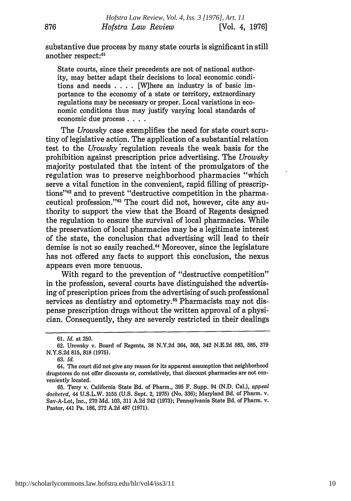substantive due process by many state courts is significant in still another respect:<sup>61</sup>

State courts, since their precedents are not of national authority, may better adapt their decisions to local economic conditions and needs . **. .** . [W]here an industry is of basic importance to the economy of a state or territory, extraordinary regulations may be necessary or proper. Local variations in economic conditions thus may justify varying local standards of economic due process **....**

The *Urowsky* case exemplifies the need for state court scrutiny of legislative action. The application of a substantial relation test to the *Urowsky* \*regulation reveals the weak basis for the prohibition against prescription price advertising. The *Urowsky* majority postulated that the intent of the promulgators of the regulation was to preserve neighborhood pharmacies "which serve a vital function in the convenient, rapid filling of prescriptions"<sup>162</sup> and to prevent "destructive competition in the pharmaceutical profession."<sup>53</sup> The court did not, however, cite any authority to support the view that the Board of Regents designed the regulation to ensure the survival of local pharmacies. While the preservation of local pharmacies may be a legitimate interest of the state, the conclusion that advertising will lead to their demise is not so easily reached.<sup>64</sup> Moreover, since the legislature has not offered any facts to support this conclusion, the nexus appears even more tenuous.

With regard to the prevention of "destructive competition" in the profession, several courts have distinguished the advertising of prescription prices from the advertising of such professional services as dentistry and optometry.<sup>65</sup> Pharmacists may not dispense prescription drugs without the written approval of a physician. Consequently, they are severely restricted in their dealings

876

<sup>61.</sup> *Id.* at 250.

<sup>62.</sup> Urowsky v. Board of Regents, 38 N.Y.2d 364, 368, 342 N.E.2d 583, 585, 379 N.Y.S.2d 815, 818 (1975).

<sup>63.</sup> *Id.*

<sup>64.</sup> The court did not give any reason for its apparent assumption that neighborhood drugstores do not offer discounts or, correlatively, that discount pharmacies are not conveniently located.

<sup>65.</sup> Terry v. California State Bd. of Pharm., 395 F. Supp. 94 (N.D. Cal.), *appeal docketed,* 44 U.S.L.W. 3155 (U.S. Sept. 2, 1975) (No. 336); Maryland Bd. of Pharm. v. Sav-A.Lot, Inc., 270 Md. 103, 311 A.2d 242 (1973); Pennsylvania State Bd. of Pharm. v. Pastor, 441 Pa. 186, 272 A.2d 487 (1971).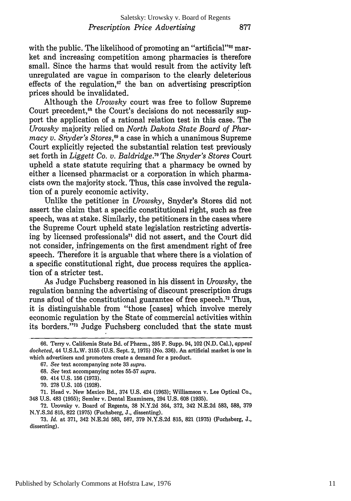with the public. The likelihood of promoting an "artificial"<sup>66</sup> market and increasing competition among pharmacies is therefore small. Since the harms that would result from the activity left unregulated are vague in comparison to the clearly deleterious effects of the regulation,<sup>67</sup> the ban on advertising prescription prices should be invalidated.

Although the *Urowsky* court was free to follow Supreme Court precedent.<sup>68</sup> the Court's decisions do not necessarily support the application of a rational relation test in this case. The *Urowsky* majority relied on *North Dakota State Board of Pharmacy v. Snyder's Stores,69* a case in which a unanimous Supreme Court explicitly rejected the substantial relation test previously set forth in *Liggett Co. v. Baldridge.7°* The *Snyder's Stores* Court upheld a state statute requiring that a pharmacy be owned by either a licensed pharmacist or a corporation in which pharmacists own the majority stock. Thus, this case involved the regulation of a purely economic activity.

Unlike the petitioner in *Urowsky,* Snyder's Stores did not assert the claim that a specific constitutional right, such as free speech, was at stake. Similarly, the petitioners in the cases where the Supreme Court upheld state legislation restricting advertising by licensed professionals71 did not assert, and the Court did not consider, infringements on the first amendment right of free speech. Therefore it is arguable that where there is a violation of a specific constitutional right, due process requires the application of a stricter test.

As Judge Fuchsberg reasoned in his dissent in *Urowsky,* the regulation banning the advertising of discount prescription drugs runs afoul of the constitutional guarantee of free speech.<sup>72</sup> Thus, it is distinguishable from "those [cases] which involve merely economic regulation by the State of commercial activities within its borders."73 Judge Fuchsberg concluded that the state must

<sup>66.</sup> Terry v. California State Bd. of Pharm., 395 F. Supp. 94, 102 (N.D. Cal.), *appeal docketed,* 44 U.S.L.W. 3155 (U.S. Sept. 2, 1975) (No. 336). An artificial market is one in which advertisers and promoters create a demand for a product.

<sup>67.</sup> *See* text accompanying note 33 *supra.*

<sup>68.</sup> *See* text accompanying notes 55-57 *supra.*

<sup>69. 414</sup> U.S. 156 (1973).

<sup>70. 278</sup> U.S. 105 (1928).

<sup>71.</sup> Head v. New Mexico Bd., 374 U.S. 424 (1963); Williamson v. Lee Optical Co., 348 U.S. 483 (1955); Semler v. Dental Examiners, 294 U.S. 608 (1935).

<sup>72.</sup> Urowsky v. Board of Regents, 38 N.Y.2d 364, 372, 342 N.E.2d 583, 588, 379 N.Y.S.2d 815, 822 (1975) (Fuchsberg, J., dissenting).

<sup>73.</sup> *Id.* at 371, 342 N.E.2d 583, 587, 379 N.Y.S.2d 815, 821 (1975) (Fuchsberg, J., dissenting).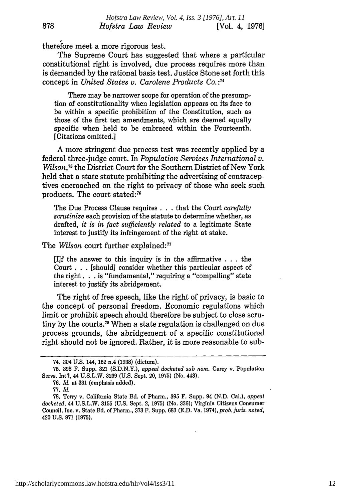therefore meet a more rigorous test.

The Supreme Court has suggested that where a particular constitutional right is involved, due process requires more than is demanded by the rational basis test. Justice Stone set forth this concept in *United States v. Carolene Products Co. :7*

There may be narrower scope for operation of the presumption of constitutionality when legislation appears on its face to be within a specific prohibition of the Constitution, such as those of the first ten amendments, which are deemed equally specific when held to be embraced within the Fourteenth. [Citations omitted.]

A more stringent due process test was recently applied by a federal three-judge court. In *Population Services International v. Wilson,7 "* the District Court for the Southern District of New York held that a state statute prohibiting the advertising of contraceptives encroached on the right to privacy of those who seek such products. The court stated:76

The Due Process Clause requires **. . .** that the Court *carefully scrutinize* each provision of the statute to determine whether, as drafted, *it is in fact sufficiently related* to a legitimate State interest to justify its infringement of the right at stake.

The *Wilson* court further explained:"

 $[II]$ f the answer to this inquiry is in the affirmative . . . the Court **. .** . [should] consider whether this particular aspect of the right. **. .** is "fundamental," requiring a "compelling" state interest to justify its abridgement.

The right of free speech, like the right of privacy, is basic to the concept of personal freedom. Economic regulations which limit or prohibit speech should therefore be subject to close scrutiny by the courts.<sup>78</sup> When a state regulation is challenged on due process grounds, the abridgement of a specific constitutional right should not be ignored. Rather, it is more reasonable to sub-

<sup>74. 304</sup> U.S. 144, 152 n.4 (1938) (dictum).

**<sup>75. 398</sup>** F. Supp. 321 (S.D.N.Y.), *appeal docketed sub nom.* Carey v. Population Servs. Int'l, 44 U.S.L.W. 3239 (U.S. Sept. 20, 1975) (No. 443).

<sup>76.</sup> *Id.* at 331 (emphasis added).

<sup>77.</sup> *Id.*

**<sup>78.</sup>** Terry v. California State Bd. of Pharm., 395 F. Supp. 94 (N.D. Cal.), *appeal docketed,* 44 U.S.L.W. 3155 (U.S. Sept. 2, 1975) (No. 336); Virginia Citizens Consumer Council, Inc. v. State Bd. of Pharm., 373 F. Supp. 683 (E.D. Va. 1974), *prob.juris noted,* 420 **U.S.** 971 (1975).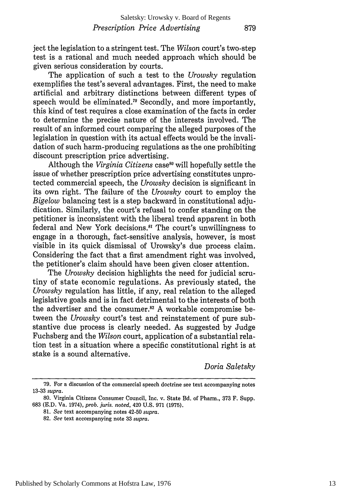879

ject the legislation to a stringent test. The *Wilson* court's two-step test is a rational and much needed approach which should be given serious consideration by courts.

The application of such a test to the *Urowsky* regulation exemplifies the test's several advantages. First, the need to make artificial and arbitrary distinctions between different types of speech would be eliminated.<sup>79</sup> Secondly, and more importantly. this kind of test requires a close examination of the facts in order to determine the precise nature of the interests involved. The result of an informed court comparing the alleged purposes of the legislation in question with its actual effects would be the invalidation of such harm-producing regulations as the one prohibiting discount prescription price advertising.

Although the *Virginia Citizens* case<sup>80</sup> will hopefully settle the issue of whether prescription price advertising constitutes unprotected commercial speech, the *Urowsky* decision is significant in its own right. The failure of the *Urowsky* court to employ the *Bigelow* balancing test is a step backward in constitutional adjudication. Similarly, the court's refusal to confer standing on the petitioner is inconsistent with the liberal trend apparent in both federal and New York decisions."' The court's unwillingness to engage in a thorough, fact-sensitive analysis, however, is most visible in its quick dismissal of Urowsky's due process claim. Considering the fact that a first amendment right was involved, the petitioner's claim should have been given closer attention.

The *Urowsky* decision highlights the need for judicial scrutiny of state economic regulations. As previously stated, the *Urowsky* regulation has little, if any, real relation to the alleged legislative goals and is in fact detrimental to the interests of both the advertiser and the consumer.<sup>82</sup> A workable compromise between the *Urowsky* court's test and reinstatement of pure substantive due process is clearly needed. As suggested by Judge Fuchsberg and the *Wilson* court, application of a substantial relation test in a situation where a specific constitutional right is at stake is a sound alternative.

*Doria Saletsky*

<sup>79.</sup> For a discussion of the commercial speech doctrine see text accompanying notes 13-33 *supra.*

**<sup>80.</sup>** Virginia Citizens Consumer Council, Inc. v. State Bd. of Pharm., 373 F. Supp. 683 (E.D. Va. 1974), *prob. juris. noted,* 420 U.S. 971 (1975).

<sup>81.</sup> *See* text accompanying notes 42-50 *supra.*

<sup>82.</sup> *See* text accompanying note 33 *supra.*